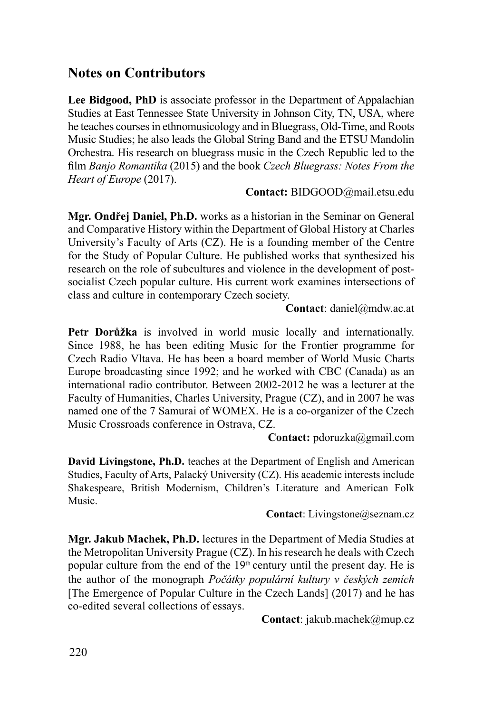## **Notes on Contributors**

**Lee Bidgood, PhD** is associate professor in the Department of Appalachian Studies at East Tennessee State University in Johnson City, TN, USA, where he teaches courses in ethnomusicology and in Bluegrass, Old-Time, and Roots Music Studies; he also leads the Global String Band and the ETSU Mandolin Orchestra. His research on bluegrass music in the Czech Republic led to the film *Banjo Romantika* (2015) and the book *Czech Bluegrass: Notes From the Heart of Europe* (2017).

**Contact:** BIDGOOD@mail.etsu.edu

**Mgr. Ondřej Daniel, Ph.D.** works as a historian in the Seminar on General and Comparative History within the Department of Global History at Charles University's Faculty of Arts (CZ). He is a founding member of the Centre for the Study of Popular Culture. He published works that synthesized his research on the role of subcultures and violence in the development of postsocialist Czech popular culture. His current work examines intersections of class and culture in contemporary Czech society.

**Contact**: daniel@mdw.ac.at

**Petr Dorůžka** is involved in world music locally and internationally. Since 1988, he has been editing Music for the Frontier programme for Czech Radio Vltava. He has been a board member of World Music Charts Europe broadcasting since 1992; and he worked with CBC (Canada) as an international radio contributor. Between 2002-2012 he was a lecturer at the Faculty of Humanities, Charles University, Prague (CZ), and in 2007 he was named one of the 7 Samurai of WOMEX. He is a co-organizer of the Czech Music Crossroads conference in Ostrava, CZ.

**Contact:** pdoruzka@gmail.com

**David Livingstone, Ph.D.** teaches at the Department of English and American Studies, Faculty of Arts, Palacký University (CZ). His academic interests include Shakespeare, British Modernism, Children's Literature and American Folk Music.

**Contact**: Livingstone@seznam.cz

**Mgr. Jakub Machek, Ph.D.** lectures in the Department of Media Studies at the Metropolitan University Prague (CZ). In his research he deals with Czech popular culture from the end of the  $19<sup>th</sup>$  century until the present day. He is the author of the monograph *Počátky populární kultury v českých zemích*  [The Emergence of Popular Culture in the Czech Lands] (2017) and he has co-edited several collections of essays.

**Contact**: jakub.machek@mup.cz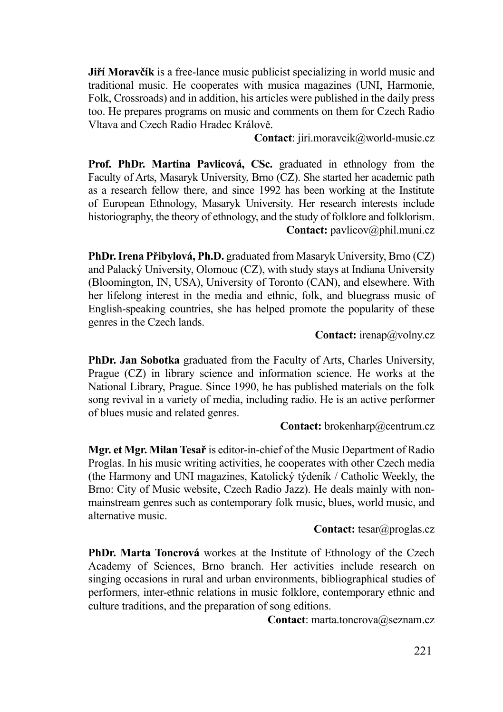**Jiří Moravčík** is a free-lance music publicist specializing in world music and traditional music. He cooperates with musica magazines (UNI, Harmonie, Folk, Crossroads) and in addition, his articles were published in the daily press too. He prepares programs on music and comments on them for Czech Radio Vltava and Czech Radio Hradec Králově.

**Contact**: jiri.moravcik@world-music.cz

**Prof. PhDr. Martina Pavlicová, CSc.** graduated in ethnology from the Faculty of Arts, Masaryk University, Brno (CZ). She started her academic path as a research fellow there, and since 1992 has been working at the Institute of European Ethnology, Masaryk University. Her research interests include historiography, the theory of ethnology, and the study of folklore and folklorism. **Contact:** pavlicov@phil.muni.cz

**PhDr. Irena Přibylová, Ph.D.** graduated from Masaryk University, Brno (CZ) and Palacký University, Olomouc (CZ), with study stays at Indiana University (Bloomington, IN, USA), University of Toronto (CAN), and elsewhere. With her lifelong interest in the media and ethnic, folk, and bluegrass music of English-speaking countries, she has helped promote the popularity of these genres in the Czech lands.

**Contact:** irenap@volny.cz

**PhDr. Jan Sobotka** graduated from the Faculty of Arts, Charles University, Prague (CZ) in library science and information science. He works at the National Library, Prague. Since 1990, he has published materials on the folk song revival in a variety of media, including radio. He is an active performer of blues music and related genres.

Contact: brokenharp@centrum.cz

**Mgr. et Mgr. Milan Tesař** is editor-in-chief of the Music Department of Radio Proglas. In his music writing activities, he cooperates with other Czech media (the Harmony and UNI magazines, Katolický týdeník / Catholic Weekly, the Brno: City of Music website, Czech Radio Jazz). He deals mainly with nonmainstream genres such as contemporary folk music, blues, world music, and alternative music.

**Contact:** tesar@proglas.cz

**PhDr. Marta Toncrová** workes at the Institute of Ethnology of the Czech Academy of Sciences, Brno branch. Her activities include research on singing occasions in rural and urban environments, bibliographical studies of performers, inter-ethnic relations in music folklore, contemporary ethnic and culture traditions, and the preparation of song editions.

Contact: marta.toncrova@seznam.cz